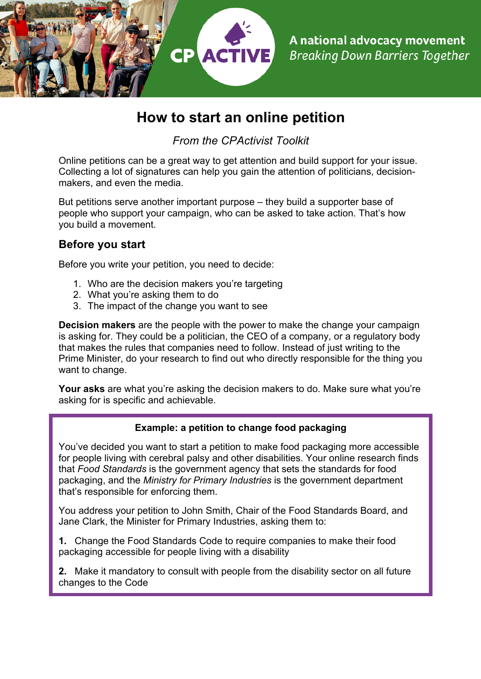

# **How to start an online petition**

*From the CPActivist Toolkit*

Online petitions can be a great way to get attention and build support for your issue. Collecting a lot of signatures can help you gain the attention of politicians, decisionmakers, and even the media.

But petitions serve another important purpose – they build a supporter base of people who support your campaign, who can be asked to take action. That's how you build a movement.

## **Before you start**

Before you write your petition, you need to decide:

- 1. Who are the decision makers you're targeting
- 2. What you're asking them to do
- 3. The impact of the change you want to see

**Decision makers** are the people with the power to make the change your campaign is asking for. They could be a politician, the CEO of a company, or a regulatory body that makes the rules that companies need to follow. Instead of just writing to the Prime Minister, do your research to find out who directly responsible for the thing you want to change.

**Your asks** are what you're asking the decision makers to do. Make sure what you're asking for is specific and achievable.

#### **Example: a petition to change food packaging**

You've decided you want to start a petition to make food packaging more accessible for people living with cerebral palsy and other disabilities. Your online research finds that *Food Standards* is the government agency that sets the standards for food packaging, and the *Ministry for Primary Industries* is the government department that's responsible for enforcing them.

You address your petition to John Smith, Chair of the Food Standards Board, and Jane Clark, the Minister for Primary Industries, asking them to:

**1.** Change the Food Standards Code to require companies to make their food packaging accessible for people living with a disability

**2.** Make it mandatory to consult with people from the disability sector on all future changes to the Code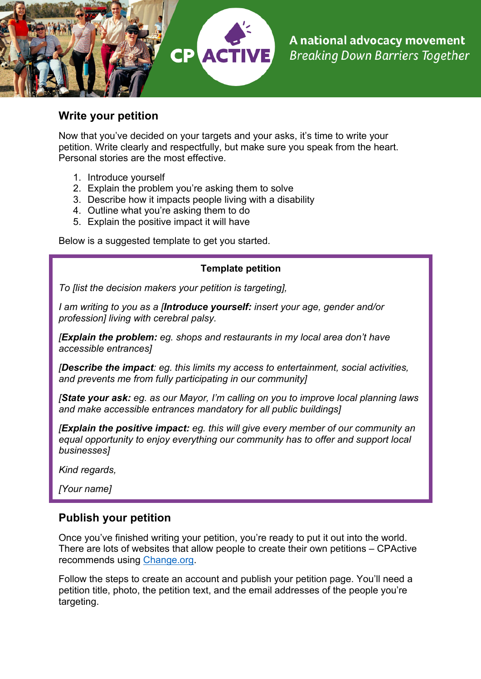

#### **Write your petition**

Now that you've decided on your targets and your asks, it's time to write your petition. Write clearly and respectfully, but make sure you speak from the heart. Personal stories are the most effective.

- 1. Introduce yourself
- 2. Explain the problem you're asking them to solve
- 3. Describe how it impacts people living with a disability
- 4. Outline what you're asking them to do
- 5. Explain the positive impact it will have

Below is a suggested template to get you started.

#### **Template petition**

*To [list the decision makers your petition is targeting],*

*I am writing to you as a [Introduce yourself: insert your age, gender and/or profession] living with cerebral palsy.* 

*[Explain the problem: eg. shops and restaurants in my local area don't have accessible entrances]*

*[Describe the impact: eg. this limits my access to entertainment, social activities, and prevents me from fully participating in our community]*

*[State your ask: eg. as our Mayor, I'm calling on you to improve local planning laws and make accessible entrances mandatory for all public buildings]*

*[Explain the positive impact: eg. this will give every member of our community an equal opportunity to enjoy everything our community has to offer and support local businesses]*

*Kind regards,*

*[Your name]*

#### **Publish your petition**

Once you've finished writing your petition, you're ready to put it out into the world. There are lots of websites that allow people to create their own petitions – CPActive recommends using Change.org.

Follow the steps to create an account and publish your petition page. You'll need a petition title, photo, the petition text, and the email addresses of the people you're targeting.